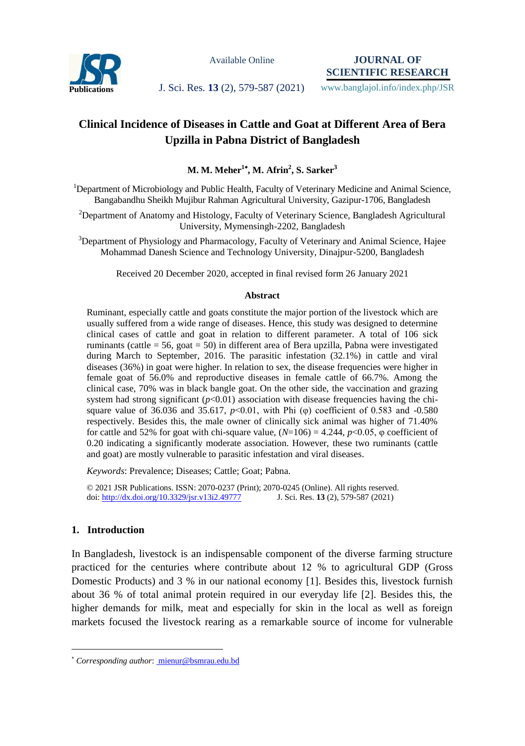

Available Online

**JOURNAL OF SCIENTIFIC RESEARCH**

**Publications J. Sci. Res. 13 (2), 579-587 (2021)** www.banglajol.info/index.php/JSR

# **Clinical Incidence of Diseases in Cattle and Goat at Different Area of Bera Upzilla in Pabna District of Bangladesh**

**M. M. Meher<sup>1</sup> , M. Afrin<sup>2</sup> , S. Sarker<sup>3</sup>**

<sup>1</sup>Department of Microbiology and Public Health, Faculty of Veterinary Medicine and Animal Science, Bangabandhu Sheikh Mujibur Rahman Agricultural University, Gazipur-1706, Bangladesh

<sup>2</sup>Department of Anatomy and Histology, Faculty of Veterinary Science, Bangladesh Agricultural University, Mymensingh-2202, Bangladesh

<sup>3</sup>Department of Physiology and Pharmacology, Faculty of Veterinary and Animal Science, Hajee Mohammad Danesh Science and Technology University, Dinajpur-5200, Bangladesh

Received 20 December 2020, accepted in final revised form 26 January 2021

#### **Abstract**

Ruminant, especially cattle and goats constitute the major portion of the livestock which are usually suffered from a wide range of diseases. Hence, this study was designed to determine clinical cases of cattle and goat in relation to different parameter. A total of 106 sick ruminants (cattle = 56, goat = 50) in different area of Bera upzilla, Pabna were investigated during March to September, 2016. The parasitic infestation (32.1%) in cattle and viral diseases (36%) in goat were higher. In relation to sex, the disease frequencies were higher in female goat of 56.0% and reproductive diseases in female cattle of 66.7%. Among the clinical case, 70% was in black bangle goat. On the other side, the vaccination and grazing system had strong significant  $(p<0.01)$  association with disease frequencies having the chisquare value of 36.036 and 35.617,  $p<0.01$ , with Phi (φ) coefficient of 0.583 and -0.580 respectively. Besides this, the male owner of clinically sick animal was higher of 71.40% for cattle and 52% for goat with chi-square value,  $(N=106) = 4.244$ ,  $p<0.05$ ,  $\varphi$  coefficient of 0.20 indicating a significantly moderate association. However, these two ruminants (cattle and goat) are mostly vulnerable to parasitic infestation and viral diseases.

*Keywords*: Prevalence; Diseases; Cattle; Goat; Pabna.

© 2021 JSR Publications. ISSN: 2070-0237 (Print); 2070-0245 (Online). All rights reserved. doi[: http://dx.doi.org/10.3329/jsr.v13i2.49777](http://dx.doi.org/10.3329/jsr.v13i2.49777) J. Sci. Res. **13** (2), 579-587 (2021)

## **1. Introduction**

 $\overline{a}$ 

In Bangladesh, livestock is an indispensable component of the diverse farming structure practiced for the centuries where contribute about 12 % to agricultural GDP (Gross Domestic Products) and 3 % in our national economy [1]. Besides this, livestock furnish about 36 % of total animal protein required in our everyday life [2]. Besides this, the higher demands for milk, meat and especially for skin in the local as well as foreign markets focused the livestock rearing as a remarkable source of income for vulnerable

*Corresponding author*[: mienur@bsmrau.edu.bd](mailto:mahbubchem@cu.ac.bd)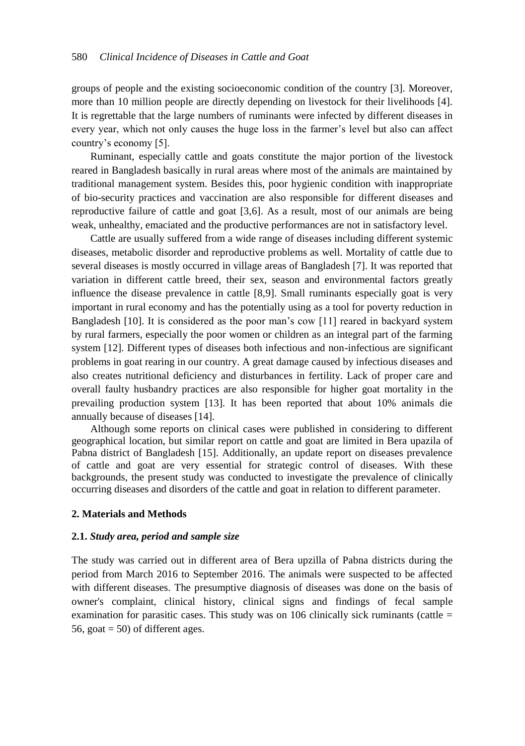groups of people and the existing socioeconomic condition of the country [3]. Moreover, more than 10 million people are directly depending on livestock for their livelihoods [4]. It is regrettable that the large numbers of ruminants were infected by different diseases in every year, which not only causes the huge loss in the farmer's level but also can affect country's economy [5].

Ruminant, especially cattle and goats constitute the major portion of the livestock reared in Bangladesh basically in rural areas where most of the animals are maintained by traditional management system. Besides this, poor hygienic condition with inappropriate of bio-security practices and vaccination are also responsible for different diseases and reproductive failure of cattle and goat [3,6]. As a result, most of our animals are being weak, unhealthy, emaciated and the productive performances are not in satisfactory level.

Cattle are usually suffered from a wide range of diseases including different systemic diseases, metabolic disorder and reproductive problems as well. Mortality of cattle due to several diseases is mostly occurred in village areas of Bangladesh [7]. It was reported that variation in different cattle breed, their sex, season and environmental factors greatly influence the disease prevalence in cattle [8,9]. Small ruminants especially goat is very important in rural economy and has the potentially using as a tool for poverty reduction in Bangladesh [10]. It is considered as the poor man's cow [11] reared in backyard system by rural farmers, especially the poor women or children as an integral part of the farming system [12]. Different types of diseases both infectious and non-infectious are significant problems in goat rearing in our country. A great damage caused by infectious diseases and also creates nutritional deficiency and disturbances in fertility. Lack of proper care and overall faulty husbandry practices are also responsible for higher goat mortality in the prevailing production system [13]. It has been reported that about 10% animals die annually because of diseases [14].

Although some reports on clinical cases were published in considering to different geographical location, but similar report on cattle and goat are limited in Bera upazila of Pabna district of Bangladesh [15]. Additionally, an update report on diseases prevalence of cattle and goat are very essential for strategic control of diseases. With these backgrounds, the present study was conducted to investigate the prevalence of clinically occurring diseases and disorders of the cattle and goat in relation to different parameter.

#### **2. Materials and Methods**

#### **2.1.** *Study area, period and sample size*

The study was carried out in different area of Bera upzilla of Pabna districts during the period from March 2016 to September 2016. The animals were suspected to be affected with different diseases. The presumptive diagnosis of diseases was done on the basis of owner's complaint, clinical history, clinical signs and findings of fecal sample examination for parasitic cases. This study was on 106 clinically sick ruminants (cattle  $=$ 56, goat  $=$  50) of different ages.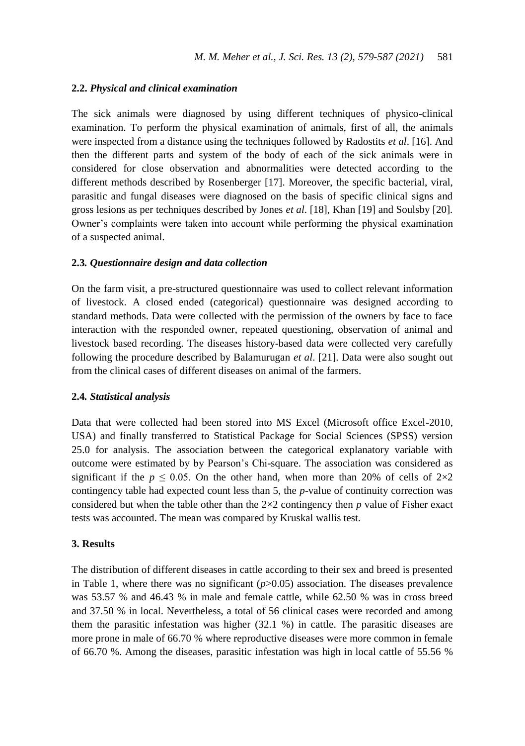#### **2.2.** *Physical and clinical examination*

The sick animals were diagnosed by using different techniques of physico-clinical examination. To perform the physical examination of animals, first of all, the animals were inspected from a distance using the techniques followed by Radostits *et al*. [16]. And then the different parts and system of the body of each of the sick animals were in considered for close observation and abnormalities were detected according to the different methods described by Rosenberger [17]. Moreover, the specific bacterial, viral, parasitic and fungal diseases were diagnosed on the basis of specific clinical signs and gross lesions as per techniques described by Jones *et al*. [18], Khan [19] and Soulsby [20]. Owner's complaints were taken into account while performing the physical examination of a suspected animal.

#### **2.3***. Questionnaire design and data collection*

On the farm visit, a pre-structured questionnaire was used to collect relevant information of livestock. A closed ended (categorical) questionnaire was designed according to standard methods. Data were collected with the permission of the owners by face to face interaction with the responded owner, repeated questioning, observation of animal and livestock based recording. The diseases history-based data were collected very carefully following the procedure described by Balamurugan *et al*. [21]. Data were also sought out from the clinical cases of different diseases on animal of the farmers.

#### **2.4***. Statistical analysis*

Data that were collected had been stored into MS Excel (Microsoft office Excel-2010, USA) and finally transferred to Statistical Package for Social Sciences (SPSS) version 25.0 for analysis. The association between the categorical explanatory variable with outcome were estimated by by Pearson's Chi-square. The association was considered as significant if the  $p \le 0.05$ . On the other hand, when more than 20% of cells of  $2 \times 2$ contingency table had expected count less than 5, the *p*-value of continuity correction was considered but when the table other than the 2×2 contingency then *p* value of Fisher exact tests was accounted. The mean was compared by Kruskal wallis test.

### **3. Results**

The distribution of different diseases in cattle according to their sex and breed is presented in Table 1, where there was no significant  $(p>0.05)$  association. The diseases prevalence was 53.57 % and 46.43 % in male and female cattle, while 62.50 % was in cross breed and 37.50 % in local. Nevertheless, a total of 56 clinical cases were recorded and among them the parasitic infestation was higher (32.1 %) in cattle. The parasitic diseases are more prone in male of 66.70 % where reproductive diseases were more common in female of 66.70 %. Among the diseases, parasitic infestation was high in local cattle of 55.56 %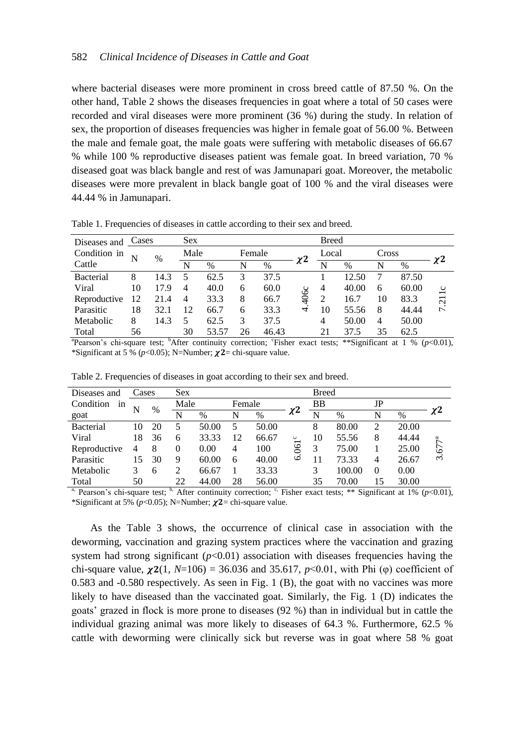where bacterial diseases were more prominent in cross breed cattle of 87.50 %. On the other hand, Table 2 shows the diseases frequencies in goat where a total of 50 cases were recorded and viral diseases were more prominent (36 %) during the study. In relation of sex, the proportion of diseases frequencies was higher in female goat of 56.00 %. Between the male and female goat, the male goats were suffering with metabolic diseases of 66.67 % while 100 % reproductive diseases patient was female goat. In breed variation, 70 % diseased goat was black bangle and rest of was Jamunapari goat. Moreover, the metabolic diseases were more prevalent in black bangle goat of 100 % and the viral diseases were 44.44 % in Jamunapari.

| Diseases and | Cases |      | <b>Sex</b>     |       |        |       |      | <b>Breed</b> |       |       |       |                |
|--------------|-------|------|----------------|-------|--------|-------|------|--------------|-------|-------|-------|----------------|
| Condition in | N     | %    | Male           |       | Female |       |      | Local        |       | Cross |       |                |
| Cattle       |       |      | N              | %     | N      | %     | χZ   | N            | %     | N     | %     |                |
| Bacterial    | 8     | 14.3 | 5              | 62.5  | 3      | 37.5  |      |              | 12.50 |       | 87.50 |                |
| Viral        | 10    | 17.9 | 4              | 40.0  | 6      | 60.0  |      | 4            | 40.00 | 6     | 60.00 |                |
| Reproductive | 12    | 21.4 | $\overline{4}$ | 33.3  | 8      | 66.7  | 406c | 2            | 16.7  | 10    | 83.3  | 211c           |
| Parasitic    | 18    | 32.1 | 12             | 66.7  | 6      | 33.3  | 4    | 10           | 55.56 | 8     | 44.44 | $\overline{ }$ |
| Metabolic    | 8     | 14.3 | 5              | 62.5  | 3      | 37.5  |      | 4            | 50.00 | 4     | 50.00 |                |
| Total        | 56    |      | 30             | 53.57 | 26     | 46.43 |      | 21           | 37.5  | 35    | 62.5  |                |

Table 1. Frequencies of diseases in cattle according to their sex and breed.

<sup>a</sup> Pearson's chi-square test; <sup>b</sup>After continuity correction; 'Fisher exact tests; \*\*Significant at 1 % (*p*<0.01), \*Significant at 5 % ( $p$ <0.05); N=Number;  $\chi$ **2**= chi-square value.

| Diseases and    | Cases          |    | <b>Sex</b> |       |        |       |                     | <b>Breed</b> |        |          |       |                     |
|-----------------|----------------|----|------------|-------|--------|-------|---------------------|--------------|--------|----------|-------|---------------------|
| Condition<br>in | N              | %  | Male       |       | Female |       |                     | BB           |        | JP       |       |                     |
| goat            |                |    | N          | %     | N      | %     | $\chi$ <sup>2</sup> | N            | %      | N        | %     | $\chi$ <sup>2</sup> |
| Bacterial       | 10             | 20 |            | 50.00 | 5      | 50.00 |                     | 8            | 80.00  | 2        | 20.00 |                     |
| Viral           | 18             | 36 | 6          | 33.33 | 12     | 66.67 |                     | 10           | 55.56  | 8        | 44.44 | $7^{\rm a}$         |
| Reproductive    | $\overline{4}$ | 8  | 0          | 0.00  | 4      | 100   | $061^{\circ}$       | 3            | 75.00  |          | 25.00 | 67                  |
| Parasitic       | 15             | 30 | 9          | 60.00 | 6      | 40.00 | $\circ$             | 11           | 73.33  | 4        | 26.67 | $\omega$            |
| Metabolic       |                | 6  | 2          | 66.67 |        | 33.33 |                     | 3            | 100.00 | $\Omega$ | 0.00  |                     |
| Total           | 50             |    | 22         | 44.00 | 28     | 56.00 |                     | 35           | 70.00  | 15       | 30.00 |                     |

Table 2. Frequencies of diseases in goat according to their sex and breed.

<sup>a</sup>. Pearson's chi-square test; <sup>b,</sup> After continuity correction;  $\cdot$  Fisher exact tests; \*\* Significant at 1% ( $p$ <0.01), \*Significant at 5% ( $p$ <0.05); N=Number;  $\chi$ **2**= chi-square value.

As the Table 3 shows, the occurrence of clinical case in association with the deworming, vaccination and grazing system practices where the vaccination and grazing system had strong significant  $(p<0.01)$  association with diseases frequencies having the chi-square value,  $\chi$ 2(1, *N*=106) = 36.036 and 35.617, *p*<0.01, with Phi ( $\varphi$ ) coefficient of 0.583 and -0.580 respectively. As seen in Fig. 1 (B), the goat with no vaccines was more likely to have diseased than the vaccinated goat. Similarly, the Fig. 1 (D) indicates the goats' grazed in flock is more prone to diseases (92 %) than in individual but in cattle the individual grazing animal was more likely to diseases of 64.3 %. Furthermore, 62.5 % cattle with deworming were clinically sick but reverse was in goat where 58 % goat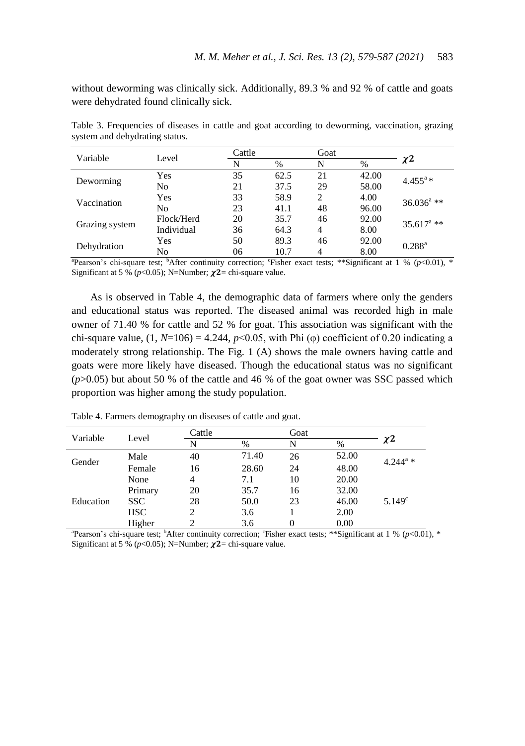without deworming was clinically sick. Additionally, 89.3 % and 92 % of cattle and goats were dehydrated found clinically sick.

| Variable       | Level      | Cattle |      | Goat                          |       |                        |  |
|----------------|------------|--------|------|-------------------------------|-------|------------------------|--|
|                |            | N      | %    | N                             | %     | $\chi$ <sup>2</sup>    |  |
| Deworming      | Yes        | 35     | 62.5 | 21                            | 42.00 | $4.455^{\rm a}$ *      |  |
|                | No         | 21     | 37.5 | 29                            | 58.00 |                        |  |
| Vaccination    | Yes        | 33     | 58.9 | $\mathfrak{D}_{\mathfrak{p}}$ | 4.00  | $36.036^{\text{a}}$ ** |  |
|                | No         | 23     | 41.1 | 48                            | 96.00 |                        |  |
|                | Flock/Herd | 20     | 35.7 | 46                            | 92.00 | $35.617^{\text{a}}$ ** |  |
| Grazing system | Individual | 36     | 64.3 | 4                             | 8.00  |                        |  |
| Dehydration    | Yes        | 50     | 89.3 | 46                            | 92.00 | $0.288^{\rm a}$        |  |
|                | No         | 06     | 10.7 | 4                             | 8.00  |                        |  |

Table 3. Frequencies of diseases in cattle and goat according to deworming, vaccination, grazing system and dehydrating status.

<sup>a</sup>Pearson's chi-square test; <sup>b</sup>After continuity correction; 'Fisher exact tests; \*\*Significant at 1 % (*p*<0.01), \* Significant at 5 % ( $p$ <0.05); N=Number;  $\chi$ 2= chi-square value.

As is observed in Table 4, the demographic data of farmers where only the genders and educational status was reported. The diseased animal was recorded high in male owner of 71.40 % for cattle and 52 % for goat. This association was significant with the chi-square value,  $(1, N=106) = 4.244$ ,  $p<0.05$ , with Phi ( $\varphi$ ) coefficient of 0.20 indicating a moderately strong relationship. The Fig. 1 (A) shows the male owners having cattle and goats were more likely have diseased. Though the educational status was no significant  $(p>0.05)$  but about 50 % of the cattle and 46 % of the goat owner was SSC passed which proportion was higher among the study population.

| Variable  | Level      | Cattle |       | Goat |       |                        |  |
|-----------|------------|--------|-------|------|-------|------------------------|--|
|           |            | N      | $\%$  | N    | %     | $\chi$ 2               |  |
| Gender    | Male       | 40     | 71.40 | 26   | 52.00 | $4.244^{\mathrm{a}}$ * |  |
|           | Female     | 16     | 28.60 | 24   | 48.00 |                        |  |
|           | None       | 4      | 7.1   | 10   | 20.00 |                        |  |
|           | Primary    | 20     | 35.7  | 16   | 32.00 |                        |  |
| Education | <b>SSC</b> | 28     | 50.0  | 23   | 46.00 | $5.149^{\circ}$        |  |
|           | <b>HSC</b> | 2      | 3.6   |      | 2.00  |                        |  |
|           | Higher     |        | 3.6   |      | 0.00  |                        |  |

Table 4. Farmers demography on diseases of cattle and goat.

<sup>a</sup> Pearson's chi-square test; <sup>b</sup>After continuity correction; 'Fisher exact tests; \*\*Significant at 1 % (*p*<0.01), \* Significant at 5 % ( $p$ <0.05); N=Number;  $\chi$ 2= chi-square value.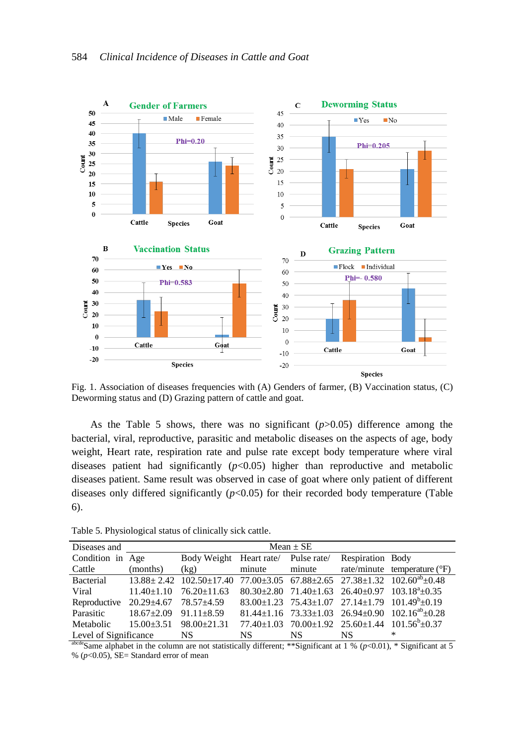

Fig. 1. Association of diseases frequencies with (A) Genders of farmer, (B) Vaccination status, (C) Deworming status and (D) Grazing pattern of cattle and goat.

As the Table 5 shows, there was no significant (*p*>0.05) difference among the bacterial, viral, reproductive, parasitic and metabolic diseases on the aspects of age, body weight, Heart rate, respiration rate and pulse rate except body temperature where viral diseases patient had significantly  $(p<0.05)$  higher than reproductive and metabolic diseases patient. Same result was observed in case of goat where only patient of different diseases only differed significantly  $(p<0.05)$  for their recorded body temperature (Table 6).

| Diseases and                                   | $Mean + SE$ |                                                                                                                         |     |     |                  |                                                                              |  |  |  |  |
|------------------------------------------------|-------------|-------------------------------------------------------------------------------------------------------------------------|-----|-----|------------------|------------------------------------------------------------------------------|--|--|--|--|
| Condition in Age                               |             | Body Weight Heart rate/ Pulse rate/                                                                                     |     |     | Respiration Body |                                                                              |  |  |  |  |
| Cattle                                         | (months)    | (kg)                                                                                                                    |     |     |                  | minute minute rate/minute temperature $(PF)$                                 |  |  |  |  |
|                                                |             | Bacterial $13.88 \pm 2.42$ $102.50 \pm 17.40$ $77.00 \pm 3.05$ $67.88 \pm 2.65$ $27.38 \pm 1.32$ $102.60^{ab} \pm 0.48$ |     |     |                  |                                                                              |  |  |  |  |
| Viral                                          |             | $11.40 \pm 1.10$ $76.20 \pm 11.63$ $80.30 \pm 2.80$ $71.40 \pm 1.63$ $26.40 \pm 0.97$ $103.18^{4} \pm 0.35$             |     |     |                  |                                                                              |  |  |  |  |
| Reproductive $20.29 \pm 4.67$ 78.57 $\pm 4.59$ |             |                                                                                                                         |     |     |                  | $83.00 \pm 1.23$ $75.43 \pm 1.07$ $27.14 \pm 1.79$ $101.49^b \pm 0.19$       |  |  |  |  |
| Parasitic $18.67 \pm 2.09$ 91.11 $\pm 8.59$    |             |                                                                                                                         |     |     |                  | 81.44±1.16 73.33±1.03 26.94±0.90 102.16 <sup>ab</sup> ±0.28                  |  |  |  |  |
| Metabolic $15.00 \pm 3.51$ $98.00 \pm 21.31$   |             |                                                                                                                         |     |     |                  | $77.40 \pm 1.03$ $70.00 \pm 1.92$ $25.60 \pm 1.44$ $101.56^{\circ} \pm 0.37$ |  |  |  |  |
| Level of Significance NS                       |             |                                                                                                                         | NS. | NS. | NS.              | ∗                                                                            |  |  |  |  |

Table 5. Physiological status of clinically sick cattle.

abcdeSame alphabet in the column are not statistically different; \*\*Significant at  $1\%$  ( $p$ <0.01), \* Significant at 5 % (*p*<0.05), SE= Standard error of mean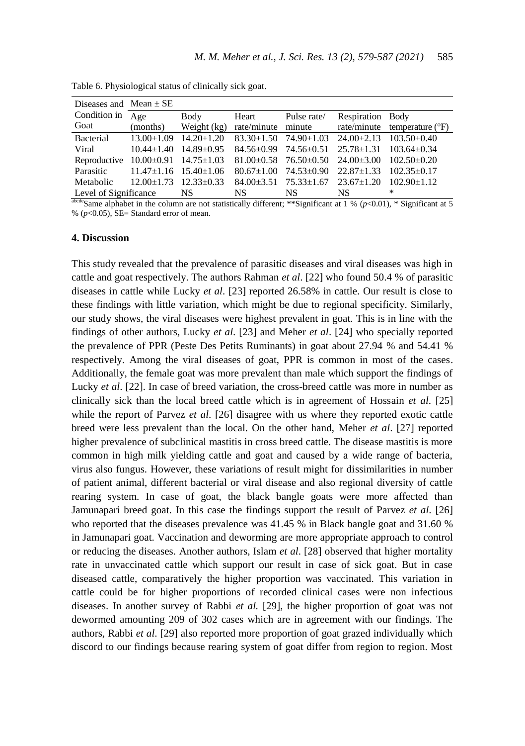| Diseases and Mean $\pm$ SE                                                                                          |                        |                   |     |                  |                                                                                                        |
|---------------------------------------------------------------------------------------------------------------------|------------------------|-------------------|-----|------------------|--------------------------------------------------------------------------------------------------------|
| Condition in $\overline{Age}$                                                                                       | Body                   | Heart Pulse rate/ |     | Respiration Body |                                                                                                        |
| Goat                                                                                                                |                        |                   |     |                  | (months) Weight (kg) rate/minute minute rate/minute temperature $(°F)$                                 |
| Bacterial $13.00 \pm 1.09$ $14.20 \pm 1.20$ $83.30 \pm 1.50$ $74.90 \pm 1.03$ $24.00 \pm 2.13$ $103.50 \pm 0.40$    |                        |                   |     |                  |                                                                                                        |
| Viral                                                                                                               |                        |                   |     |                  | $10.44 \pm 1.40$ $14.89 \pm 0.95$ $84.56 \pm 0.99$ $74.56 \pm 0.51$ $25.78 \pm 1.31$ $103.64 \pm 0.34$ |
| Reproductive $10.00 \pm 0.91$ $14.75 \pm 1.03$ $81.00 \pm 0.58$ $76.50 \pm 0.50$ $24.00 \pm 3.00$ $102.50 \pm 0.20$ |                        |                   |     |                  |                                                                                                        |
| Parasitic 11.47±1.16 15.40±1.06 80.67±1.00 74.53±0.90 22.87±1.33 102.35±0.17                                        |                        |                   |     |                  |                                                                                                        |
| Metabolic 12.00±1.73 12.33±0.33 84.00±3.51 75.33±1.67 23.67±1.20 102.90±1.12                                        |                        |                   |     |                  |                                                                                                        |
| Level of Significance                                                                                               | $\overline{\text{NS}}$ | NS NS             | NS. | NS.              | *                                                                                                      |

Table 6. Physiological status of clinically sick goat.

abcdeSame alphabet in the column are not statistically different; \*\*Significant at 1 % (*p*<0.01), \* Significant at 5 %  $(p<0.05)$ , SE= Standard error of mean.

#### **4. Discussion**

This study revealed that the prevalence of parasitic diseases and viral diseases was high in cattle and goat respectively. The authors Rahman *et al*. [22] who found 50.4 % of parasitic diseases in cattle while Lucky *et al*. [23] reported 26.58% in cattle. Our result is close to these findings with little variation, which might be due to regional specificity. Similarly, our study shows, the viral diseases were highest prevalent in goat. This is in line with the findings of other authors, Lucky *et al*. [23] and Meher *et al*. [24] who specially reported the prevalence of PPR (Peste Des Petits Ruminants) in goat about 27.94 % and 54.41 % respectively. Among the viral diseases of goat, PPR is common in most of the cases. Additionally, the female goat was more prevalent than male which support the findings of Lucky *et al*. [22]. In case of breed variation, the cross-breed cattle was more in number as clinically sick than the local breed cattle which is in agreement of Hossain *et al*. [25] while the report of Parvez *et al*. [26] disagree with us where they reported exotic cattle breed were less prevalent than the local. On the other hand, Meher *et al*. [27] reported higher prevalence of subclinical mastitis in cross breed cattle. The disease mastitis is more common in high milk yielding cattle and goat and caused by a wide range of bacteria, virus also fungus. However, these variations of result might for dissimilarities in number of patient animal, different bacterial or viral disease and also regional diversity of cattle rearing system. In case of goat, the black bangle goats were more affected than Jamunapari breed goat. In this case the findings support the result of Parvez *et al*. [26] who reported that the diseases prevalence was 41.45 % in Black bangle goat and 31.60 % in Jamunapari goat. Vaccination and deworming are more appropriate approach to control or reducing the diseases. Another authors, Islam *et al*. [28] observed that higher mortality rate in unvaccinated cattle which support our result in case of sick goat. But in case diseased cattle, comparatively the higher proportion was vaccinated. This variation in cattle could be for higher proportions of recorded clinical cases were non infectious diseases. In another survey of Rabbi *et al.* [29], the higher proportion of goat was not dewormed amounting 209 of 302 cases which are in agreement with our findings. The authors, Rabbi *et al*. [29] also reported more proportion of goat grazed individually which discord to our findings because rearing system of goat differ from region to region. Most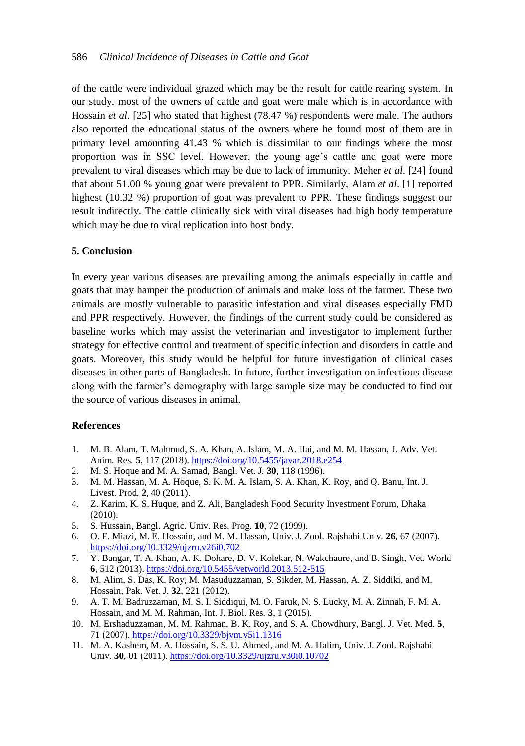of the cattle were individual grazed which may be the result for cattle rearing system. In our study, most of the owners of cattle and goat were male which is in accordance with Hossain *et al*. [25] who stated that highest (78.47 %) respondents were male. The authors also reported the educational status of the owners where he found most of them are in primary level amounting 41.43 % which is dissimilar to our findings where the most proportion was in SSC level. However, the young age's cattle and goat were more prevalent to viral diseases which may be due to lack of immunity. Meher *et al*. [24] found that about 51.00 % young goat were prevalent to PPR. Similarly, Alam *et al*. [1] reported highest (10.32 %) proportion of goat was prevalent to PPR. These findings suggest our result indirectly. The cattle clinically sick with viral diseases had high body temperature which may be due to viral replication into host body.

## **5. Conclusion**

In every year various diseases are prevailing among the animals especially in cattle and goats that may hamper the production of animals and make loss of the farmer. These two animals are mostly vulnerable to parasitic infestation and viral diseases especially FMD and PPR respectively. However, the findings of the current study could be considered as baseline works which may assist the veterinarian and investigator to implement further strategy for effective control and treatment of specific infection and disorders in cattle and goats. Moreover, this study would be helpful for future investigation of clinical cases diseases in other parts of Bangladesh. In future, further investigation on infectious disease along with the farmer's demography with large sample size may be conducted to find out the source of various diseases in animal.

#### **References**

- 1. M. B. Alam, T. Mahmud, S. A. Khan, A. Islam, M. A. Hai, and M. M. Hassan, J. Adv. Vet. Anim*.* Res*.* **5**, 117 (2018)[. https://doi.org/10.5455/javar.2018.e254](https://doi.org/10.5455/javar.2018.e254)
- 2. M. S. Hoque and M. A. Samad, Bangl. Vet. J*.* **30**, 118 (1996).
- 3. M. M. Hassan, M. A. Hoque, S. K. M. A. Islam, S. A. Khan, K. Roy, and Q. Banu, Int. J. Livest. Prod*.* **2**, 40 (2011).
- 4. Z. Karim, K. S. Huque, and Z. Ali, Bangladesh Food Security Investment Forum, Dhaka (2010).
- 5. S. Hussain, Bangl. Agric. Univ. Res. Prog*.* **10**, 72 (1999).
- 6. O. F. Miazi, M. E. Hossain, and M. M. Hassan, Univ. J. Zool. Rajshahi Univ*.* **26**, 67 (2007). <https://doi.org/10.3329/ujzru.v26i0.702>
- 7. Y. Bangar, T. A. Khan, A. K. Dohare, D. V. Kolekar, N. Wakchaure, and B. Singh, Vet. World **6**, 512 (2013)[. https://doi.org/10.5455/vetworld.2013.512-515](https://doi.org/10.5455/vetworld.2013.512-515)
- 8. M. Alim, S. Das, K. Roy, M. Masuduzzaman, S. Sikder, M. Hassan, A. Z. Siddiki, and M. Hossain, Pak. Vet. J. **32**, 221 (2012).
- 9. A. T. M. Badruzzaman, M. S. I. Siddiqui, M. O. Faruk, N. S. Lucky, M. A. Zinnah, F. M. A. Hossain, and M. M. Rahman, Int. J. Biol. Res*.* **3**, 1 (2015).
- 10. M. Ershaduzzaman, M. M. Rahman, B. K. Roy, and S. A. Chowdhury, Bangl. J. Vet. Med*.* **5**, 71 (2007).<https://doi.org/10.3329/bjvm.v5i1.1316>
- 11. M. A. Kashem, M. A. Hossain, S. S. U. Ahmed, and M. A. Halim, Univ. J. Zool. Rajshahi Univ*.* **30**, 01 (2011).<https://doi.org/10.3329/ujzru.v30i0.10702>